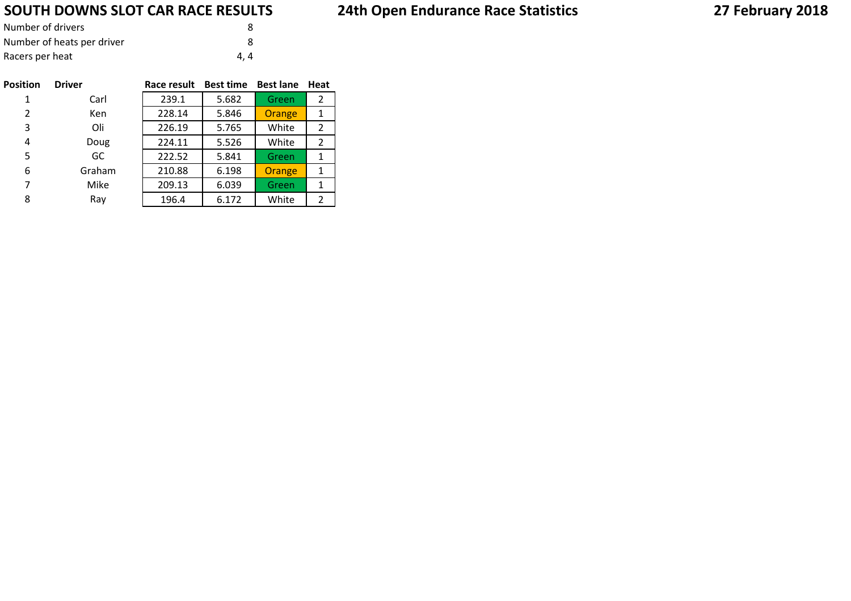# **SOUTH DOWNS SLOT CAR RACE RESULTS**

| Number of drivers          |     |  |
|----------------------------|-----|--|
| Number of heats per driver |     |  |
| Racers per heat            | 4.4 |  |

| <b>Position</b> | <b>Driver</b> | Race result | <b>Best time</b> | <b>Best lane</b> | Heat           |
|-----------------|---------------|-------------|------------------|------------------|----------------|
| 1               | Carl          | 239.1       | 5.682            | Green            | 2              |
| $\overline{2}$  | <b>Ken</b>    | 228.14      | 5.846            | Orange           | 1              |
| 3               | Oli           | 226.19      | 5.765            | White            | $\overline{2}$ |
| 4               | Doug          | 224.11      | 5.526            | White            | 2              |
| 5               | GC            | 222.52      | 5.841            | Green            | 1              |
| 6               | Graham        | 210.88      | 6.198            | Orange           | 1              |
| 7               | Mike          | 209.13      | 6.039            | Green            | 1              |
| 8               | Ray           | 196.4       | 6.172            | White            | 2              |

# **24th Open Endurance Race Statistics**

# **27 February 2018**